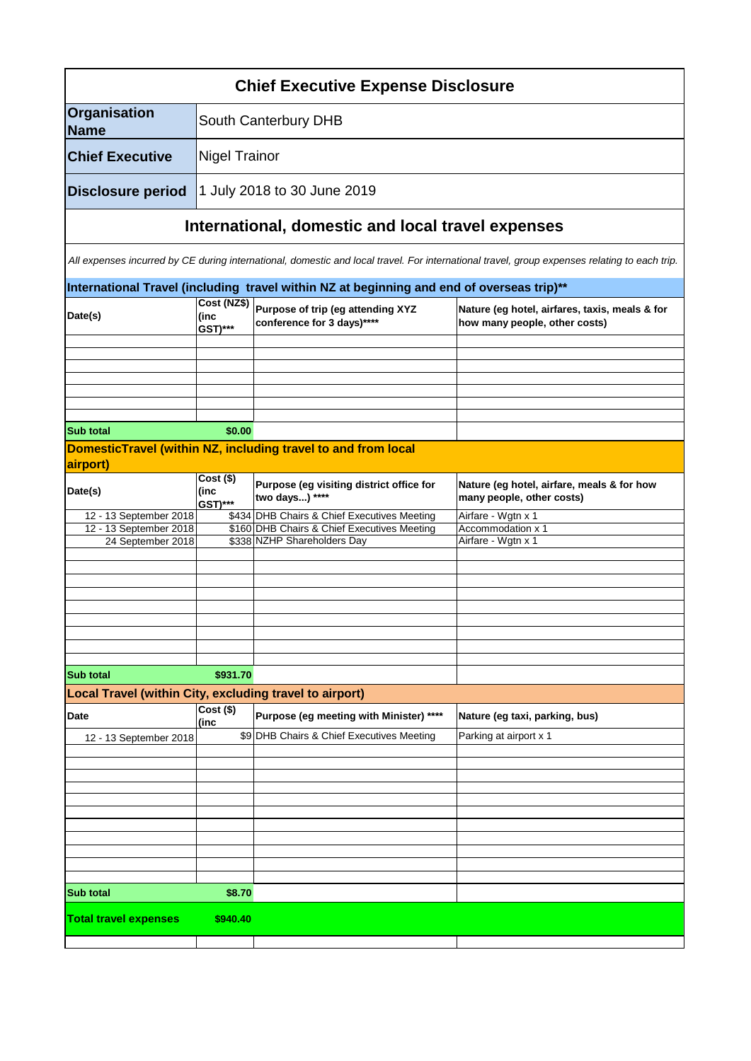| <b>Chief Executive Expense Disclosure</b>               |                                       |                                                                                           |                                                                                                                                              |  |  |
|---------------------------------------------------------|---------------------------------------|-------------------------------------------------------------------------------------------|----------------------------------------------------------------------------------------------------------------------------------------------|--|--|
| Organisation<br><b>Name</b>                             | South Canterbury DHB                  |                                                                                           |                                                                                                                                              |  |  |
| <b>Chief Executive</b>                                  |                                       | <b>Nigel Trainor</b>                                                                      |                                                                                                                                              |  |  |
| <b>Disclosure period</b>                                |                                       | 1 July 2018 to 30 June 2019                                                               |                                                                                                                                              |  |  |
|                                                         |                                       | International, domestic and local travel expenses                                         |                                                                                                                                              |  |  |
|                                                         |                                       |                                                                                           | All expenses incurred by CE during international, domestic and local travel. For international travel, group expenses relating to each trip. |  |  |
|                                                         |                                       | International Travel (including travel within NZ at beginning and end of overseas trip)** |                                                                                                                                              |  |  |
| Date(s)                                                 | Cost (NZ\$)<br>(inc<br><b>GST)***</b> | Purpose of trip (eg attending XYZ<br>conference for 3 days)****                           | Nature (eg hotel, airfares, taxis, meals & for<br>how many people, other costs)                                                              |  |  |
|                                                         |                                       |                                                                                           |                                                                                                                                              |  |  |
|                                                         |                                       |                                                                                           |                                                                                                                                              |  |  |
|                                                         |                                       |                                                                                           |                                                                                                                                              |  |  |
| <b>Sub total</b>                                        | \$0.00                                |                                                                                           |                                                                                                                                              |  |  |
|                                                         |                                       | DomesticTravel (within NZ, including travel to and from local                             |                                                                                                                                              |  |  |
| airport)                                                |                                       |                                                                                           |                                                                                                                                              |  |  |
| Date(s)                                                 | $Cost($ \$)<br>(inc<br>GST)***        | Purpose (eg visiting district office for<br>two days) ****                                | Nature (eg hotel, airfare, meals & for how<br>many people, other costs)                                                                      |  |  |
| 12 - 13 September 2018                                  |                                       | \$434 DHB Chairs & Chief Executives Meeting                                               | Airfare - Wgtn x 1                                                                                                                           |  |  |
| 12 - 13 September 2018<br>24 September 2018             |                                       | \$160 DHB Chairs & Chief Executives Meeting<br>\$338 NZHP Shareholders Day                | Accommodation x 1<br>Airfare - Wgtn x 1                                                                                                      |  |  |
|                                                         |                                       |                                                                                           |                                                                                                                                              |  |  |
|                                                         |                                       |                                                                                           |                                                                                                                                              |  |  |
|                                                         |                                       |                                                                                           |                                                                                                                                              |  |  |
|                                                         |                                       |                                                                                           |                                                                                                                                              |  |  |
|                                                         |                                       |                                                                                           |                                                                                                                                              |  |  |
|                                                         |                                       |                                                                                           |                                                                                                                                              |  |  |
| <b>Sub total</b>                                        | \$931.70                              |                                                                                           |                                                                                                                                              |  |  |
| Local Travel (within City, excluding travel to airport) |                                       |                                                                                           |                                                                                                                                              |  |  |
| <b>Date</b>                                             | $Cost($ \$)                           | Purpose (eg meeting with Minister) ****                                                   | Nature (eg taxi, parking, bus)                                                                                                               |  |  |
| 12 - 13 September 2018                                  | (inc                                  | \$9 DHB Chairs & Chief Executives Meeting                                                 | Parking at airport x 1                                                                                                                       |  |  |
|                                                         |                                       |                                                                                           |                                                                                                                                              |  |  |
|                                                         |                                       |                                                                                           |                                                                                                                                              |  |  |
|                                                         |                                       |                                                                                           |                                                                                                                                              |  |  |
|                                                         |                                       |                                                                                           |                                                                                                                                              |  |  |
|                                                         |                                       |                                                                                           |                                                                                                                                              |  |  |
|                                                         |                                       |                                                                                           |                                                                                                                                              |  |  |
|                                                         |                                       |                                                                                           |                                                                                                                                              |  |  |
| <b>Sub total</b>                                        | \$8.70                                |                                                                                           |                                                                                                                                              |  |  |
| <b>Total travel expenses</b><br>\$940.40                |                                       |                                                                                           |                                                                                                                                              |  |  |
|                                                         |                                       |                                                                                           |                                                                                                                                              |  |  |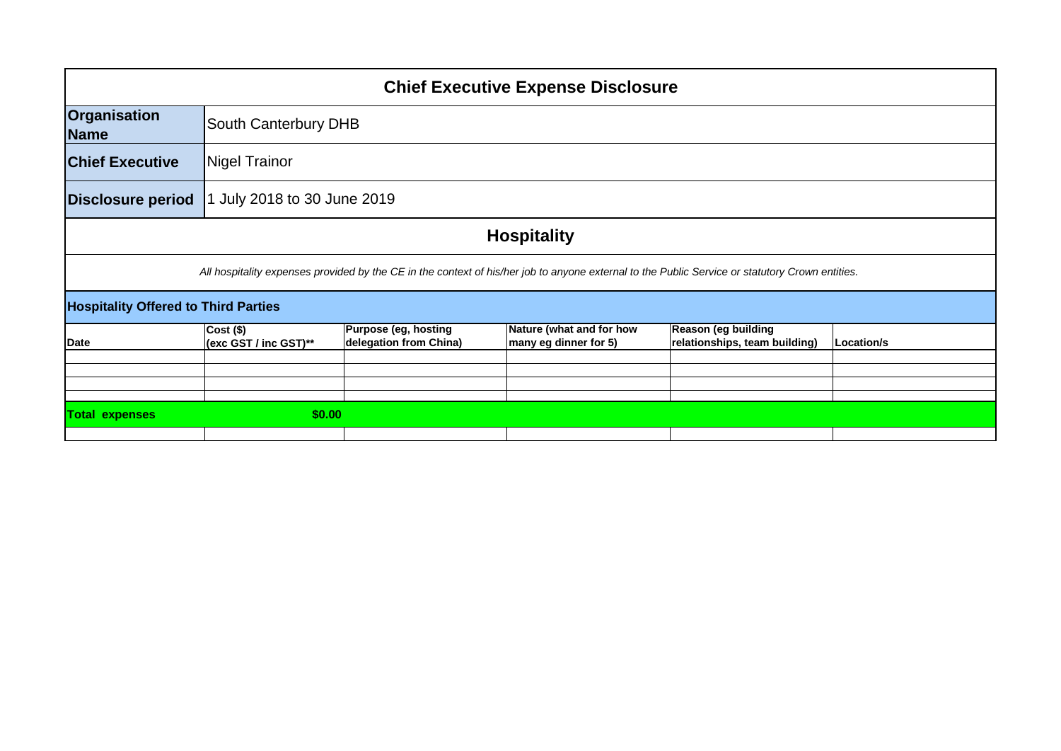| <b>Chief Executive Expense Disclosure</b>                                                                                                       |                                      |                                                |                                                   |                                                      |            |  |
|-------------------------------------------------------------------------------------------------------------------------------------------------|--------------------------------------|------------------------------------------------|---------------------------------------------------|------------------------------------------------------|------------|--|
| <b>Organisation</b><br>Name                                                                                                                     | South Canterbury DHB                 |                                                |                                                   |                                                      |            |  |
| <b>Chief Executive</b>                                                                                                                          | Nigel Trainor                        |                                                |                                                   |                                                      |            |  |
| Disclosure period                                                                                                                               | July 2018 to 30 June 2019            |                                                |                                                   |                                                      |            |  |
| <b>Hospitality</b>                                                                                                                              |                                      |                                                |                                                   |                                                      |            |  |
| All hospitality expenses provided by the CE in the context of his/her job to anyone external to the Public Service or statutory Crown entities. |                                      |                                                |                                                   |                                                      |            |  |
| <b>Hospitality Offered to Third Parties</b>                                                                                                     |                                      |                                                |                                                   |                                                      |            |  |
| Date                                                                                                                                            | $Cost($ \$)<br>(exc GST / inc GST)** | Purpose (eg, hosting<br>delegation from China) | Nature (what and for how<br>many eg dinner for 5) | Reason (eg building<br>relationships, team building) | Location/s |  |
|                                                                                                                                                 |                                      |                                                |                                                   |                                                      |            |  |
|                                                                                                                                                 |                                      |                                                |                                                   |                                                      |            |  |
|                                                                                                                                                 |                                      |                                                |                                                   |                                                      |            |  |
| <b>Total expenses</b>                                                                                                                           | \$0.00                               |                                                |                                                   |                                                      |            |  |
|                                                                                                                                                 |                                      |                                                |                                                   |                                                      |            |  |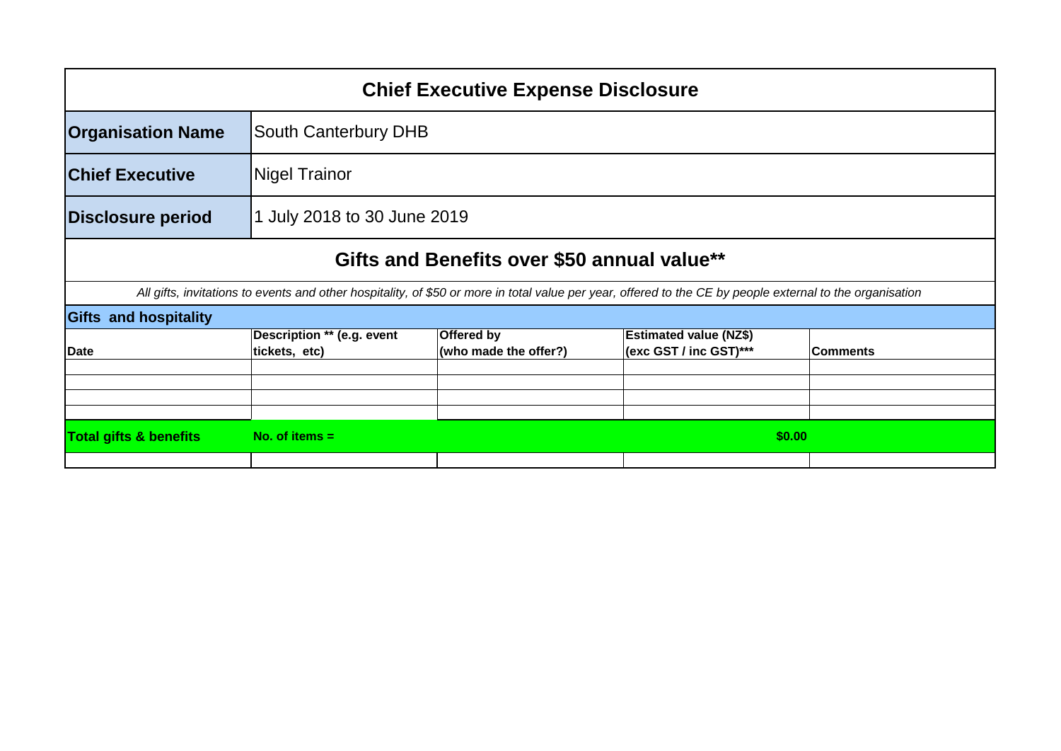| <b>Chief Executive Expense Disclosure</b>                                                                                                                 |                                             |                                     |                                                         |                 |  |
|-----------------------------------------------------------------------------------------------------------------------------------------------------------|---------------------------------------------|-------------------------------------|---------------------------------------------------------|-----------------|--|
| <b>Organisation Name</b>                                                                                                                                  | South Canterbury DHB                        |                                     |                                                         |                 |  |
| <b>Chief Executive</b>                                                                                                                                    | <b>Nigel Trainor</b>                        |                                     |                                                         |                 |  |
| <b>Disclosure period</b>                                                                                                                                  | 1 July 2018 to 30 June 2019                 |                                     |                                                         |                 |  |
| Gifts and Benefits over \$50 annual value**                                                                                                               |                                             |                                     |                                                         |                 |  |
| All gifts, invitations to events and other hospitality, of \$50 or more in total value per year, offered to the CE by people external to the organisation |                                             |                                     |                                                         |                 |  |
| <b>Gifts and hospitality</b>                                                                                                                              |                                             |                                     |                                                         |                 |  |
| Date                                                                                                                                                      | Description ** (e.g. event<br>tickets, etc) | Offered by<br>(who made the offer?) | <b>Estimated value (NZ\$)</b><br>(exc GST / inc GST)*** | <b>Comments</b> |  |
|                                                                                                                                                           |                                             |                                     |                                                         |                 |  |
| <b>Total gifts &amp; benefits</b>                                                                                                                         | No. of items $=$<br>\$0.00                  |                                     |                                                         |                 |  |
|                                                                                                                                                           |                                             |                                     |                                                         |                 |  |